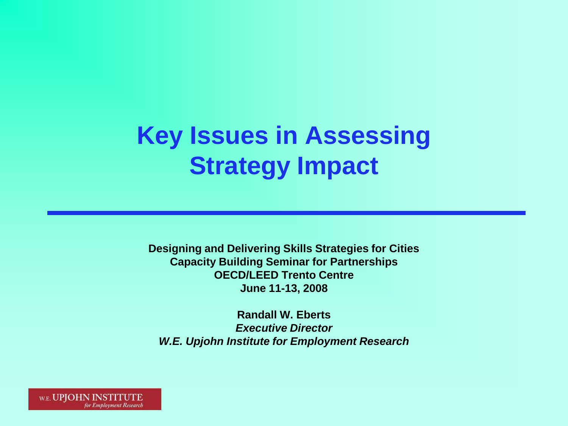# **Key Issues in Assessing Strategy Impact**

**Designing and Delivering Skills Strategies for Cities Capacity Building Seminar for Partnerships OECD/LEED Trento Centre June 11-13, 2008**

**Randall W. Eberts** *Executive Director W.E. Upjohn Institute for Employment Research*

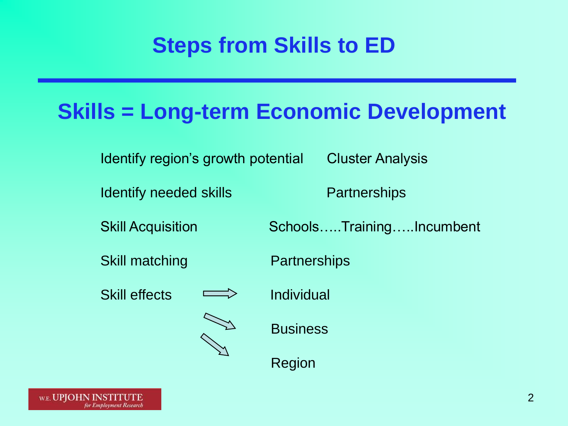# **Steps from Skills to ED**

### **Skills = Long-term Economic Development**

Identify region's growth potential Cluster Analysis

Identify needed skills **Partnerships** 

Skill matching **Partnerships** 

Skill effects  $\implies$  Individual





Skill Acquisition Schools…..Training…..Incumbent

**Business** 

Region

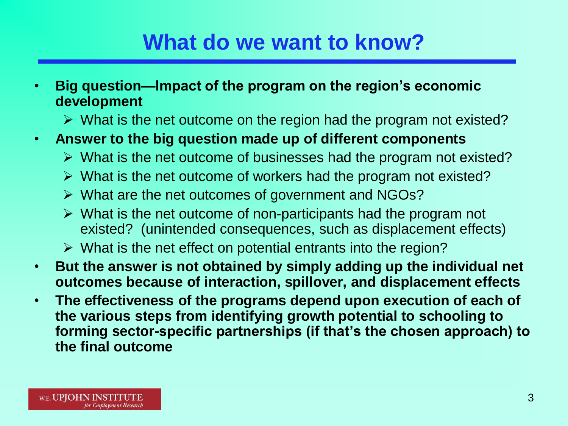### **What do we want to know?**

- **Big question—Impact of the program on the region's economic development**
	- $\triangleright$  What is the net outcome on the region had the program not existed?
- **Answer to the big question made up of different components**
	- $\triangleright$  What is the net outcome of businesses had the program not existed?
	- $\triangleright$  What is the net outcome of workers had the program not existed?
	- $\triangleright$  What are the net outcomes of government and NGOs?
	- $\triangleright$  What is the net outcome of non-participants had the program not existed? (unintended consequences, such as displacement effects)
	- $\triangleright$  What is the net effect on potential entrants into the region?
- **But the answer is not obtained by simply adding up the individual net outcomes because of interaction, spillover, and displacement effects**
- **The effectiveness of the programs depend upon execution of each of the various steps from identifying growth potential to schooling to forming sector-specific partnerships (if that's the chosen approach) to the final outcome**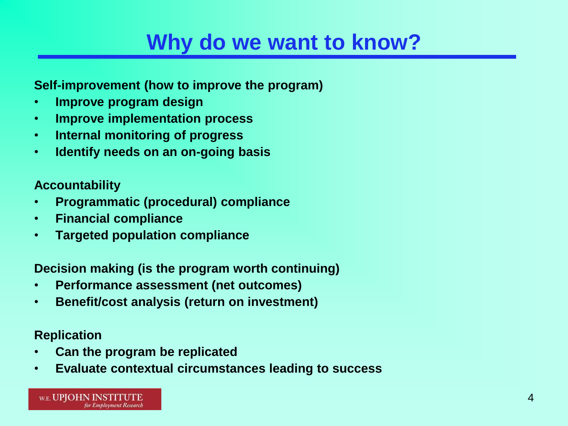### **Why do we want to know?**

#### **Self-improvement (how to improve the program)**

- **Improve program design**
- **Improve implementation process**
- **Internal monitoring of progress**
- **Identify needs on an on-going basis**

#### **Accountability**

- **Programmatic (procedural) compliance**
- **Financial compliance**
- **Targeted population compliance**

#### **Decision making (is the program worth continuing)**

- **Performance assessment (net outcomes)**
- **Benefit/cost analysis (return on investment)**

#### **Replication**

- **Can the program be replicated**
- **Evaluate contextual circumstances leading to success**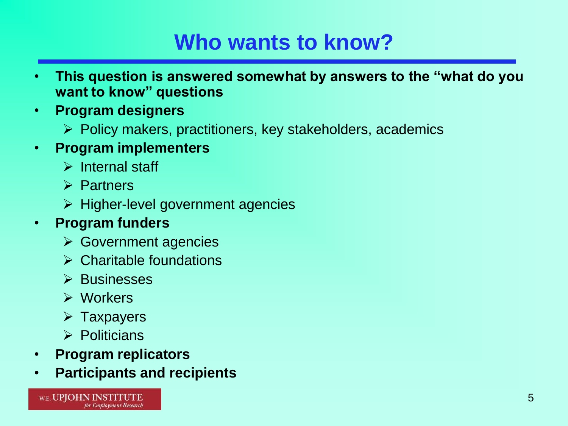# **Who wants to know?**

- **This question is answered somewhat by answers to the "what do you want to know" questions**
- **Program designers**
	- $\triangleright$  Policy makers, practitioners, key stakeholders, academics
- **Program implementers**
	- $\triangleright$  Internal staff
	- $\triangleright$  Partners
	- $\triangleright$  Higher-level government agencies

### • **Program funders**

- $\triangleright$  Government agencies
- $\triangleright$  Charitable foundations
- $\triangleright$  Businesses
- Workers
- $\triangleright$  Taxpayers
- $\triangleright$  Politicians
- **Program replicators**
- **Participants and recipients**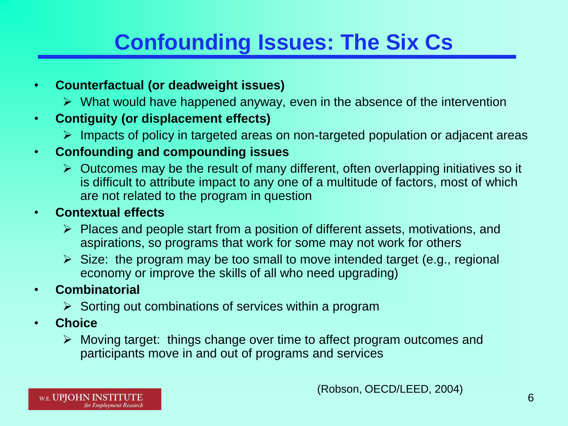# **Confounding Issues: The Six Cs**

### • **Counterfactual (or deadweight issues)**

 $\triangleright$  What would have happened anyway, even in the absence of the intervention

### • **Contiguity (or displacement effects)**

 $\triangleright$  Impacts of policy in targeted areas on non-targeted population or adjacent areas

### • **Confounding and compounding issues**

 $\triangleright$  Outcomes may be the result of many different, often overlapping initiatives so it is difficult to attribute impact to any one of a multitude of factors, most of which are not related to the program in question

### • **Contextual effects**

- $\triangleright$  Places and people start from a position of different assets, motivations, and aspirations, so programs that work for some may not work for others
- $\triangleright$  Size: the program may be too small to move intended target (e.g., regional economy or improve the skills of all who need upgrading)

### • **Combinatorial**

- $\triangleright$  Sorting out combinations of services within a program
- **Choice** 
	- $\triangleright$  Moving target: things change over time to affect program outcomes and participants move in and out of programs and services

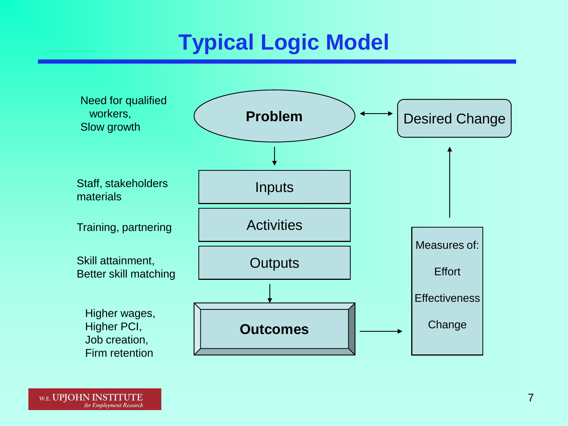# **Typical Logic Model**

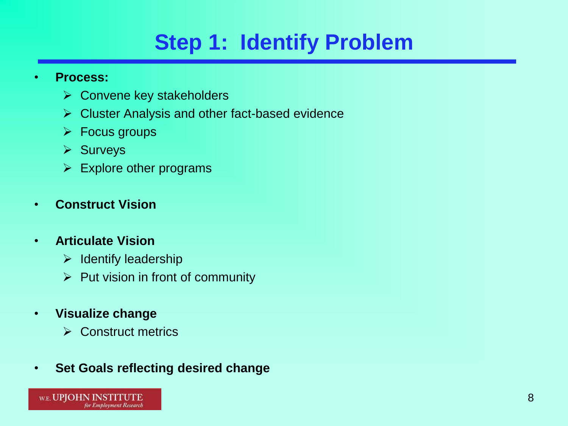# **Step 1: Identify Problem**

#### • **Process:**

- $\triangleright$  Convene key stakeholders
- $\triangleright$  Cluster Analysis and other fact-based evidence
- $\triangleright$  Focus groups
- $\triangleright$  Surveys
- $\triangleright$  Explore other programs

### • **Construct Vision**

### • **Articulate Vision**

- $\triangleright$  Identify leadership
- $\triangleright$  Put vision in front of community
- **Visualize change**
	- Construct metrics
- **Set Goals reflecting desired change**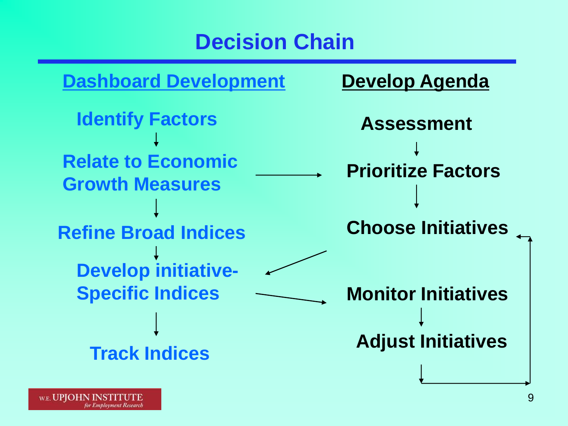### **Decision Chain**

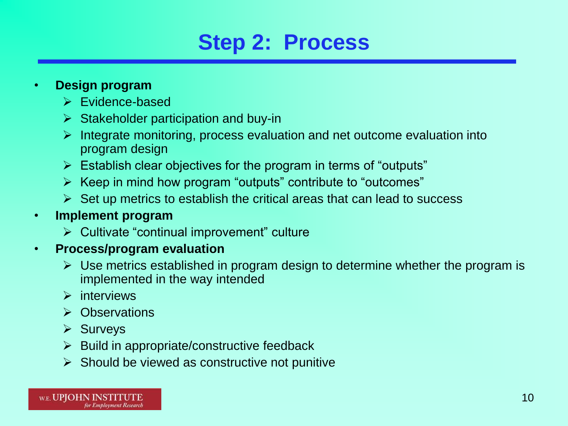### **Step 2: Process**

#### • **Design program**

- $\triangleright$  Fyidence-based
- $\triangleright$  Stakeholder participation and buy-in
- $\triangleright$  Integrate monitoring, process evaluation and net outcome evaluation into program design
- $\triangleright$  Establish clear objectives for the program in terms of "outputs"
- $\triangleright$  Keep in mind how program "outputs" contribute to "outcomes"
- $\triangleright$  Set up metrics to establish the critical areas that can lead to success

### • **Implement program**

 $\triangleright$  Cultivate "continual improvement" culture

### • **Process/program evaluation**

- $\triangleright$  Use metrics established in program design to determine whether the program is implemented in the way intended
- $\triangleright$  interviews
- **▶ Observations**
- $\triangleright$  Surveys
- $\triangleright$  Build in appropriate/constructive feedback
- $\triangleright$  Should be viewed as constructive not punitive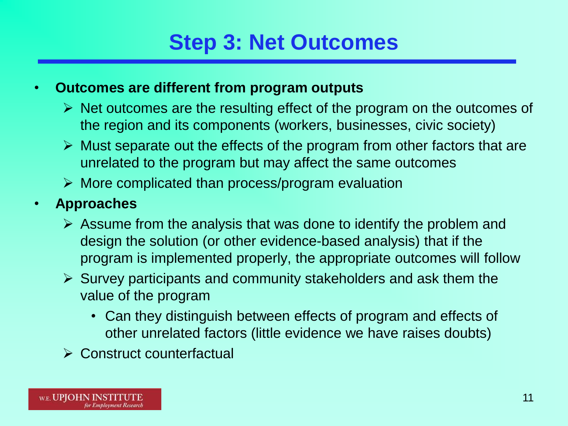# **Step 3: Net Outcomes**

### • **Outcomes are different from program outputs**

- $\triangleright$  Net outcomes are the resulting effect of the program on the outcomes of the region and its components (workers, businesses, civic society)
- $\triangleright$  Must separate out the effects of the program from other factors that are unrelated to the program but may affect the same outcomes
- $\triangleright$  More complicated than process/program evaluation
- **Approaches**
	- $\triangleright$  Assume from the analysis that was done to identify the problem and design the solution (or other evidence-based analysis) that if the program is implemented properly, the appropriate outcomes will follow
	- $\triangleright$  Survey participants and community stakeholders and ask them the value of the program
		- Can they distinguish between effects of program and effects of other unrelated factors (little evidence we have raises doubts)
	- **► Construct counterfactual**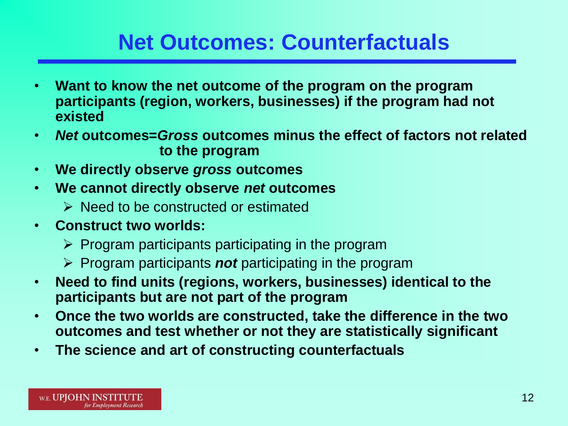### **Net Outcomes: Counterfactuals**

- **Want to know the net outcome of the program on the program participants (region, workers, businesses) if the program had not existed**
- *Net* **outcomes=***Gross* **outcomes minus the effect of factors not related to the program**
- **We directly observe** *gross* **outcomes**
- **We cannot directly observe** *net* **outcomes**
	- **E** Need to be constructed or estimated
- **Construct two worlds:**
	- $\triangleright$  Program participants participating in the program
	- $\triangleright$  Program participants *not* participating in the program
- **Need to find units (regions, workers, businesses) identical to the participants but are not part of the program**
- **Once the two worlds are constructed, take the difference in the two outcomes and test whether or not they are statistically significant**
- **The science and art of constructing counterfactuals**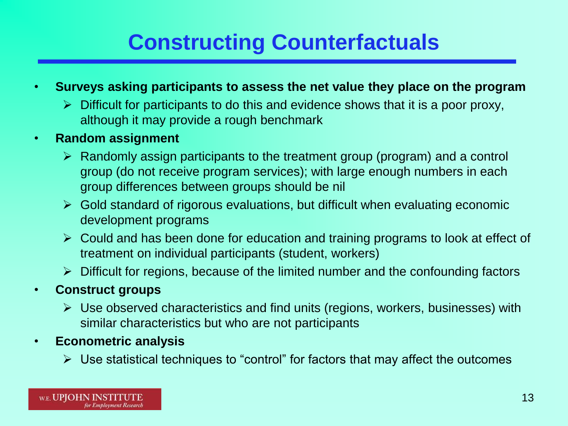# **Constructing Counterfactuals**

- **Surveys asking participants to assess the net value they place on the program**
	- $\triangleright$  Difficult for participants to do this and evidence shows that it is a poor proxy, although it may provide a rough benchmark
- **Random assignment**
	- $\triangleright$  Randomly assign participants to the treatment group (program) and a control group (do not receive program services); with large enough numbers in each group differences between groups should be nil
	- $\triangleright$  Gold standard of rigorous evaluations, but difficult when evaluating economic development programs
	- $\triangleright$  Could and has been done for education and training programs to look at effect of treatment on individual participants (student, workers)
	- $\triangleright$  Difficult for regions, because of the limited number and the confounding factors
- **Construct groups**
	- $\triangleright$  Use observed characteristics and find units (regions, workers, businesses) with similar characteristics but who are not participants
- **Econometric analysis**
	- $\triangleright$  Use statistical techniques to "control" for factors that may affect the outcomes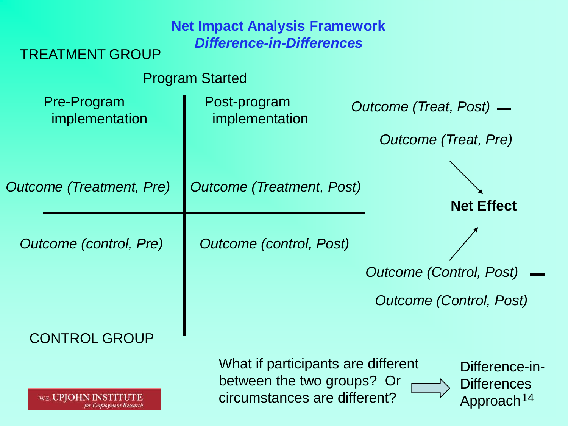| <b>TREATMENT GROUP</b>        | <b>Net Impact Analysis Framework</b><br><b>Difference-in-Differences</b>                         |                                                                |
|-------------------------------|--------------------------------------------------------------------------------------------------|----------------------------------------------------------------|
|                               | <b>Program Started</b>                                                                           |                                                                |
| Pre-Program<br>implementation | Post-program<br>implementation                                                                   | Outcome (Treat, Post) —                                        |
|                               |                                                                                                  | Outcome (Treat, Pre)                                           |
| Outcome (Treatment, Pre)      | <b>Outcome (Treatment, Post)</b>                                                                 |                                                                |
|                               |                                                                                                  | <b>Net Effect</b>                                              |
| Outcome (control, Pre)        | Outcome (control, Post)                                                                          |                                                                |
|                               |                                                                                                  | <b>Outcome (Control, Post)</b>                                 |
|                               |                                                                                                  | <b>Outcome (Control, Post)</b>                                 |
| <b>CONTROL GROUP</b>          |                                                                                                  |                                                                |
| w.e. UPJOE                    | What if participants are different<br>between the two groups? Or<br>circumstances are different? | Difference-in-<br><b>Differences</b><br>Approach <sup>14</sup> |